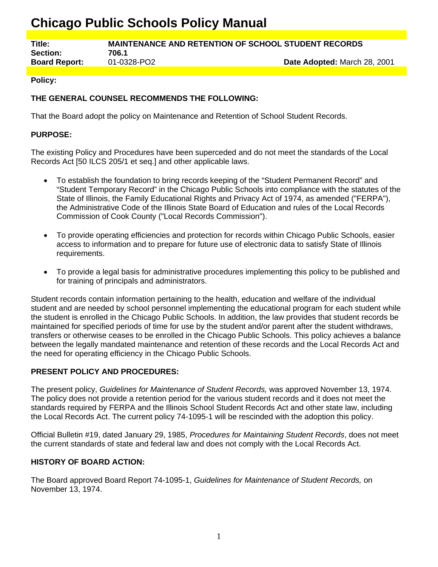# **Chicago Public Schools Policy Manual**

**Title: MAINTENANCE AND RETENTION OF SCHOOL STUDENT RECORDS Section: 706.1**

**Board Report:** 01-0328-PO2 **Date Adopted:** March 28, 2001

#### **Policy:**

## **THE GENERAL COUNSEL RECOMMENDS THE FOLLOWING:**

That the Board adopt the policy on Maintenance and Retention of School Student Records.

#### **PURPOSE:**

The existing Policy and Procedures have been superceded and do not meet the standards of the Local Records Act [50 ILCS 205/1 et seq.] and other applicable laws.

- To establish the foundation to bring records keeping of the "Student Permanent Record" and "Student Temporary Record" in the Chicago Public Schools into compliance with the statutes of the State of Illinois, the Family Educational Rights and Privacy Act of 1974, as amended ("FERPA"), the Administrative Code of the Illinois State Board of Education and rules of the Local Records Commission of Cook County ("Local Records Commission").
- To provide operating efficiencies and protection for records within Chicago Public Schools, easier access to information and to prepare for future use of electronic data to satisfy State of Illinois requirements.
- To provide a legal basis for administrative procedures implementing this policy to be published and for training of principals and administrators.

Student records contain information pertaining to the health, education and welfare of the individual student and are needed by school personnel implementing the educational program for each student while the student is enrolled in the Chicago Public Schools. In addition, the law provides that student records be maintained for specified periods of time for use by the student and/or parent after the student withdraws, transfers or otherwise ceases to be enrolled in the Chicago Public Schools. This policy achieves a balance between the legally mandated maintenance and retention of these records and the Local Records Act and the need for operating efficiency in the Chicago Public Schools.

#### **PRESENT POLICY AND PROCEDURES:**

The present policy, *Guidelines for Maintenance of Student Records,* was approved November 13, 1974. The policy does not provide a retention period for the various student records and it does not meet the standards required by FERPA and the Illinois School Student Records Act and other state law, including the Local Records Act. The current policy 74-1095-1 will be rescinded with the adoption this policy.

Official Bulletin #19, dated January 29, 1985, *Procedures for Maintaining Student Records*, does not meet the current standards of state and federal law and does not comply with the Local Records Act.

#### **HISTORY OF BOARD ACTION:**

The Board approved Board Report 74-1095-1, *Guidelines for Maintenance of Student Records,* on November 13, 1974.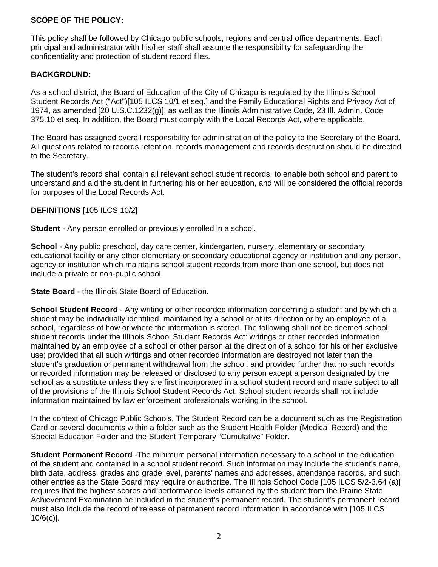## **SCOPE OF THE POLICY:**

This policy shall be followed by Chicago public schools, regions and central office departments. Each principal and administrator with his/her staff shall assume the responsibility for safeguarding the confidentiality and protection of student record files.

#### **BACKGROUND:**

As a school district, the Board of Education of the City of Chicago is regulated by the Illinois School Student Records Act ("Act")[105 ILCS 10/1 et seq.] and the Family Educational Rights and Privacy Act of 1974, as amended [20 U.S.C.1232(g)], as well as the Illinois Administrative Code, 23 Ill. Admin. Code 375.10 et seq. In addition, the Board must comply with the Local Records Act, where applicable.

The Board has assigned overall responsibility for administration of the policy to the Secretary of the Board. All questions related to records retention, records management and records destruction should be directed to the Secretary.

The student's record shall contain all relevant school student records, to enable both school and parent to understand and aid the student in furthering his or her education, and will be considered the official records for purposes of the Local Records Act.

#### **DEFINITIONS** [105 ILCS 10/2]

**Student** - Any person enrolled or previously enrolled in a school.

**School** - Any public preschool, day care center, kindergarten, nursery, elementary or secondary educational facility or any other elementary or secondary educational agency or institution and any person, agency or institution which maintains school student records from more than one school, but does not include a private or non-public school.

**State Board** - the Illinois State Board of Education.

**School Student Record** - Any writing or other recorded information concerning a student and by which a student may be individually identified, maintained by a school or at its direction or by an employee of a school, regardless of how or where the information is stored. The following shall not be deemed school student records under the Illinois School Student Records Act: writings or other recorded information maintained by an employee of a school or other person at the direction of a school for his or her exclusive use; provided that all such writings and other recorded information are destroyed not later than the student's graduation or permanent withdrawal from the school; and provided further that no such records or recorded information may be released or disclosed to any person except a person designated by the school as a substitute unless they are first incorporated in a school student record and made subject to all of the provisions of the Illinois School Student Records Act. School student records shall not include information maintained by law enforcement professionals working in the school.

In the context of Chicago Public Schools, The Student Record can be a document such as the Registration Card or several documents within a folder such as the Student Health Folder (Medical Record) and the Special Education Folder and the Student Temporary "Cumulative" Folder.

**Student Permanent Record** -The minimum personal information necessary to a school in the education of the student and contained in a school student record. Such information may include the student's name, birth date, address, grades and grade level, parents' names and addresses, attendance records, and such other entries as the State Board may require or authorize. The Illinois School Code [105 ILCS 5/2-3.64 (a)] requires that the highest scores and performance levels attained by the student from the Prairie State Achievement Examination be included in the student's permanent record. The student's permanent record must also include the record of release of permanent record information in accordance with [105 ILCS 10/6(c)].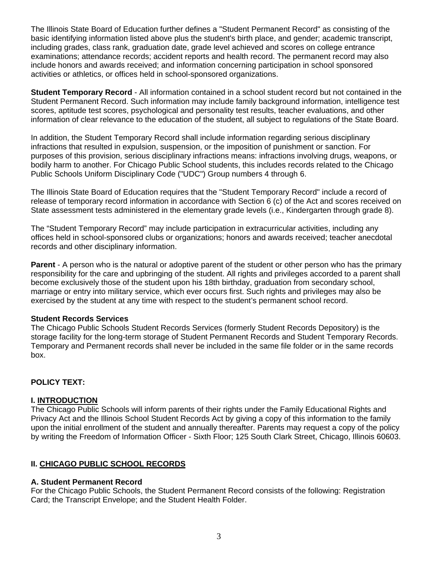The Illinois State Board of Education further defines a "Student Permanent Record" as consisting of the basic identifying information listed above plus the student's birth place, and gender; academic transcript, including grades, class rank, graduation date, grade level achieved and scores on college entrance examinations; attendance records; accident reports and health record. The permanent record may also include honors and awards received; and information concerning participation in school sponsored activities or athletics, or offices held in school-sponsored organizations.

**Student Temporary Record** - All information contained in a school student record but not contained in the Student Permanent Record. Such information may include family background information, intelligence test scores, aptitude test scores, psychological and personality test results, teacher evaluations, and other information of clear relevance to the education of the student, all subject to regulations of the State Board.

In addition, the Student Temporary Record shall include information regarding serious disciplinary infractions that resulted in expulsion, suspension, or the imposition of punishment or sanction. For purposes of this provision, serious disciplinary infractions means: infractions involving drugs, weapons, or bodily harm to another. For Chicago Public School students, this includes records related to the Chicago Public Schools Uniform Disciplinary Code ("UDC") Group numbers 4 through 6.

The Illinois State Board of Education requires that the "Student Temporary Record" include a record of release of temporary record information in accordance with Section 6 (c) of the Act and scores received on State assessment tests administered in the elementary grade levels (i.e., Kindergarten through grade 8).

The "Student Temporary Record" may include participation in extracurricular activities, including any offices held in school-sponsored clubs or organizations; honors and awards received; teacher anecdotal records and other disciplinary information.

**Parent** - A person who is the natural or adoptive parent of the student or other person who has the primary responsibility for the care and upbringing of the student. All rights and privileges accorded to a parent shall become exclusively those of the student upon his 18th birthday, graduation from secondary school, marriage or entry into military service, which ever occurs first. Such rights and privileges may also be exercised by the student at any time with respect to the student's permanent school record.

#### **Student Records Services**

The Chicago Public Schools Student Records Services (formerly Student Records Depository) is the storage facility for the long-term storage of Student Permanent Records and Student Temporary Records. Temporary and Permanent records shall never be included in the same file folder or in the same records box.

#### **POLICY TEXT:**

#### **I. INTRODUCTION**

The Chicago Public Schools will inform parents of their rights under the Family Educational Rights and Privacy Act and the Illinois School Student Records Act by giving a copy of this information to the family upon the initial enrollment of the student and annually thereafter. Parents may request a copy of the policy by writing the Freedom of Information Officer - Sixth Floor; 125 South Clark Street, Chicago, Illinois 60603.

#### **II. CHICAGO PUBLIC SCHOOL RECORDS**

#### **A. Student Permanent Record**

For the Chicago Public Schools, the Student Permanent Record consists of the following: Registration Card; the Transcript Envelope; and the Student Health Folder.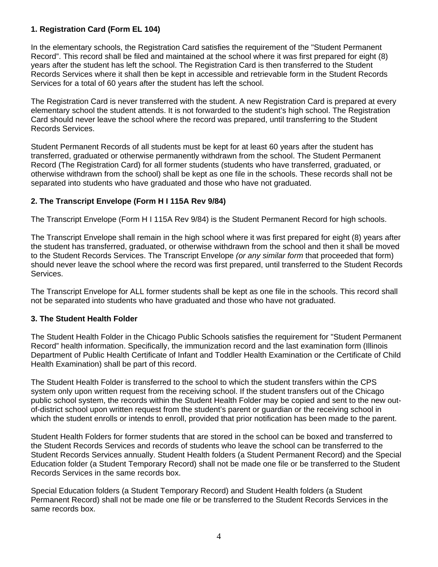## **1. Registration Card (Form EL 104)**

In the elementary schools, the Registration Card satisfies the requirement of the "Student Permanent Record". This record shall be filed and maintained at the school where it was first prepared for eight (8) years after the student has left the school. The Registration Card is then transferred to the Student Records Services where it shall then be kept in accessible and retrievable form in the Student Records Services for a total of 60 years after the student has left the school.

The Registration Card is never transferred with the student. A new Registration Card is prepared at every elementary school the student attends. It is not forwarded to the student's high school. The Registration Card should never leave the school where the record was prepared, until transferring to the Student Records Services.

Student Permanent Records of all students must be kept for at least 60 years after the student has transferred, graduated or otherwise permanently withdrawn from the school. The Student Permanent Record (The Registration Card) for all former students (students who have transferred, graduated, or otherwise withdrawn from the school) shall be kept as one file in the schools. These records shall not be separated into students who have graduated and those who have not graduated.

## **2. The Transcript Envelope (Form H I 115A Rev 9/84)**

The Transcript Envelope (Form H I 115A Rev 9/84) is the Student Permanent Record for high schools.

The Transcript Envelope shall remain in the high school where it was first prepared for eight (8) years after the student has transferred, graduated, or otherwise withdrawn from the school and then it shall be moved to the Student Records Services. The Transcript Envelope *(or any similar form* that proceeded that form) should never leave the school where the record was first prepared, until transferred to the Student Records Services.

The Transcript Envelope for ALL former students shall be kept as one file in the schools. This record shall not be separated into students who have graduated and those who have not graduated.

## **3. The Student Health Folder**

The Student Health Folder in the Chicago Public Schools satisfies the requirement for "Student Permanent Record" health information. Specifically, the immunization record and the last examination form (Illinois Department of Public Health Certificate of Infant and Toddler Health Examination or the Certificate of Child Health Examination) shall be part of this record.

The Student Health Folder is transferred to the school to which the student transfers within the CPS system only upon written request from the receiving school. If the student transfers out of the Chicago public school system, the records within the Student Health Folder may be copied and sent to the new outof-district school upon written request from the student's parent or guardian or the receiving school in which the student enrolls or intends to enroll, provided that prior notification has been made to the parent.

Student Health Folders for former students that are stored in the school can be boxed and transferred to the Student Records Services and records of students who leave the school can be transferred to the Student Records Services annually. Student Health folders (a Student Permanent Record) and the Special Education folder (a Student Temporary Record) shall not be made one file or be transferred to the Student Records Services in the same records box.

Special Education folders (a Student Temporary Record) and Student Health folders (a Student Permanent Record) shall not be made one file or be transferred to the Student Records Services in the same records box.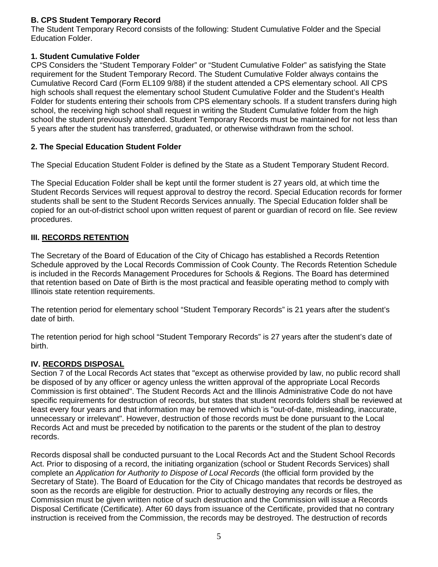## **B. CPS Student Temporary Record**

The Student Temporary Record consists of the following: Student Cumulative Folder and the Special Education Folder.

## **1. Student Cumulative Folder**

CPS Considers the "Student Temporary Folder" or "Student Cumulative Folder" as satisfying the State requirement for the Student Temporary Record. The Student Cumulative Folder always contains the Cumulative Record Card (Form EL109 9/88) if the student attended a CPS elementary school. All CPS high schools shall request the elementary school Student Cumulative Folder and the Student's Health Folder for students entering their schools from CPS elementary schools. If a student transfers during high school, the receiving high school shall request in writing the Student Cumulative folder from the high school the student previously attended. Student Temporary Records must be maintained for not less than 5 years after the student has transferred, graduated, or otherwise withdrawn from the school.

## **2. The Special Education Student Folder**

The Special Education Student Folder is defined by the State as a Student Temporary Student Record.

The Special Education Folder shall be kept until the former student is 27 years old, at which time the Student Records Services will request approval to destroy the record. Special Education records for former students shall be sent to the Student Records Services annually. The Special Education folder shall be copied for an out-of-district school upon written request of parent or guardian of record on file. See review procedures.

## **III. RECORDS RETENTION**

The Secretary of the Board of Education of the City of Chicago has established a Records Retention Schedule approved by the Local Records Commission of Cook County. The Records Retention Schedule is included in the Records Management Procedures for Schools & Regions. The Board has determined that retention based on Date of Birth is the most practical and feasible operating method to comply with Illinois state retention requirements.

The retention period for elementary school "Student Temporary Records" is 21 years after the student's date of birth.

The retention period for high school "Student Temporary Records" is 27 years after the student's date of birth.

## **IV. RECORDS DISPOSAL**

Section 7 of the Local Records Act states that "except as otherwise provided by law, no public record shall be disposed of by any officer or agency unless the written approval of the appropriate Local Records Commission is first obtained". The Student Records Act and the Illinois Administrative Code do not have specific requirements for destruction of records, but states that student records folders shall be reviewed at least every four years and that information may be removed which is "out-of-date, misleading, inaccurate, unnecessary or irrelevant". However, destruction of those records must be done pursuant to the Local Records Act and must be preceded by notification to the parents or the student of the plan to destroy records.

Records disposal shall be conducted pursuant to the Local Records Act and the Student School Records Act. Prior to disposing of a record, the initiating organization (school or Student Records Services) shall complete an *Application for Authority to Dispose of Local Records* (the official form provided by the Secretary of State). The Board of Education for the City of Chicago mandates that records be destroyed as soon as the records are eligible for destruction. Prior to actually destroying any records or files, the Commission must be given written notice of such destruction and the Commission will issue a Records Disposal Certificate (Certificate). After 60 days from issuance of the Certificate, provided that no contrary instruction is received from the Commission, the records may be destroyed. The destruction of records